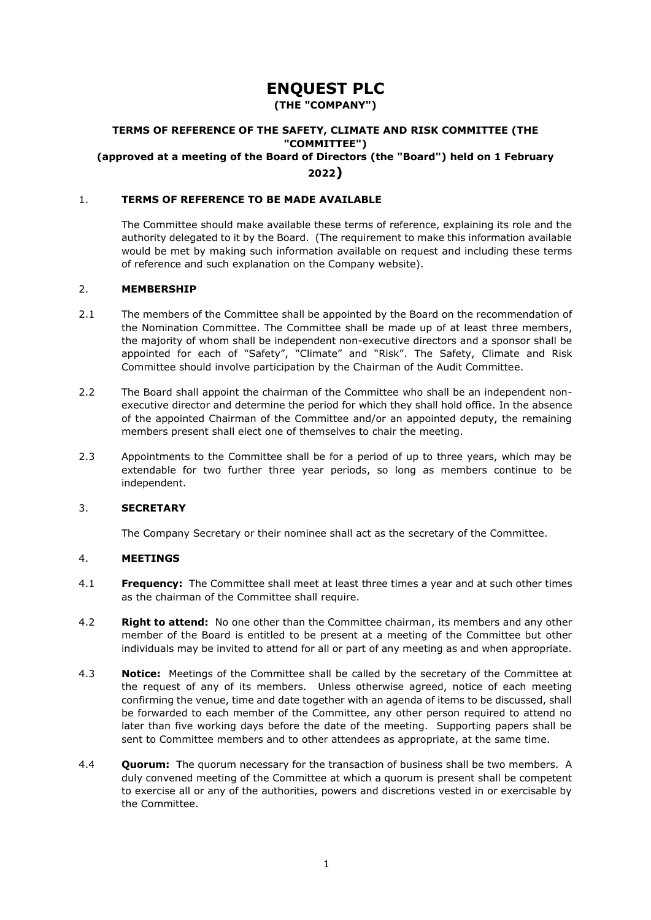# **ENQUEST PLC**

**(THE "COMPANY")**

# **TERMS OF REFERENCE OF THE SAFETY, CLIMATE AND RISK COMMITTEE (THE "COMMITTEE") (approved at a meeting of the Board of Directors (the "Board") held on 1 February 2022)**

# 1. **TERMS OF REFERENCE TO BE MADE AVAILABLE**

The Committee should make available these terms of reference, explaining its role and the authority delegated to it by the Board. (The requirement to make this information available would be met by making such information available on request and including these terms of reference and such explanation on the Company website).

#### 2. **MEMBERSHIP**

- 2.1 The members of the Committee shall be appointed by the Board on the recommendation of the Nomination Committee. The Committee shall be made up of at least three members, the majority of whom shall be independent non-executive directors and a sponsor shall be appointed for each of "Safety", "Climate" and "Risk". The Safety, Climate and Risk Committee should involve participation by the Chairman of the Audit Committee.
- 2.2 The Board shall appoint the chairman of the Committee who shall be an independent nonexecutive director and determine the period for which they shall hold office. In the absence of the appointed Chairman of the Committee and/or an appointed deputy, the remaining members present shall elect one of themselves to chair the meeting.
- 2.3 Appointments to the Committee shall be for a period of up to three years, which may be extendable for two further three year periods, so long as members continue to be independent.

## 3. **SECRETARY**

The Company Secretary or their nominee shall act as the secretary of the Committee.

#### 4. **MEETINGS**

- 4.1 **Frequency:** The Committee shall meet at least three times a year and at such other times as the chairman of the Committee shall require.
- 4.2 **Right to attend:** No one other than the Committee chairman, its members and any other member of the Board is entitled to be present at a meeting of the Committee but other individuals may be invited to attend for all or part of any meeting as and when appropriate.
- 4.3 **Notice:** Meetings of the Committee shall be called by the secretary of the Committee at the request of any of its members. Unless otherwise agreed, notice of each meeting confirming the venue, time and date together with an agenda of items to be discussed, shall be forwarded to each member of the Committee, any other person required to attend no later than five working days before the date of the meeting. Supporting papers shall be sent to Committee members and to other attendees as appropriate, at the same time.
- 4.4 **Quorum:** The quorum necessary for the transaction of business shall be two members. A duly convened meeting of the Committee at which a quorum is present shall be competent to exercise all or any of the authorities, powers and discretions vested in or exercisable by the Committee.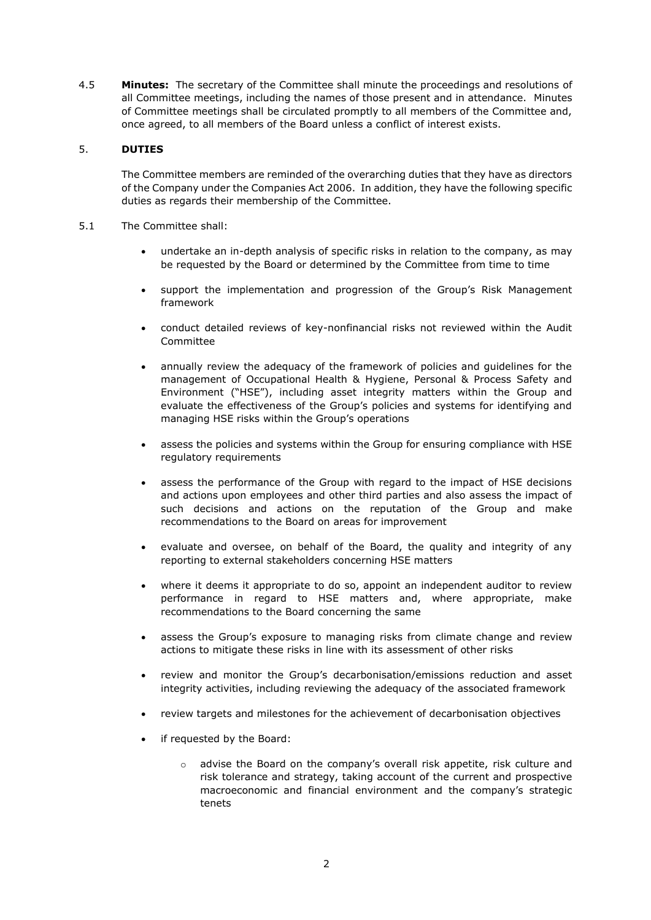4.5 **Minutes:** The secretary of the Committee shall minute the proceedings and resolutions of all Committee meetings, including the names of those present and in attendance. Minutes of Committee meetings shall be circulated promptly to all members of the Committee and, once agreed, to all members of the Board unless a conflict of interest exists.

# 5. **DUTIES**

The Committee members are reminded of the overarching duties that they have as directors of the Company under the Companies Act 2006. In addition, they have the following specific duties as regards their membership of the Committee.

- 5.1 The Committee shall:
	- undertake an in-depth analysis of specific risks in relation to the company, as may be requested by the Board or determined by the Committee from time to time
	- support the implementation and progression of the Group's Risk Management framework
	- conduct detailed reviews of key-nonfinancial risks not reviewed within the Audit Committee
	- annually review the adequacy of the framework of policies and guidelines for the management of Occupational Health & Hygiene, Personal & Process Safety and Environment ("HSE"), including asset integrity matters within the Group and evaluate the effectiveness of the Group's policies and systems for identifying and managing HSE risks within the Group's operations
	- assess the policies and systems within the Group for ensuring compliance with HSE regulatory requirements
	- assess the performance of the Group with regard to the impact of HSE decisions and actions upon employees and other third parties and also assess the impact of such decisions and actions on the reputation of the Group and make recommendations to the Board on areas for improvement
	- evaluate and oversee, on behalf of the Board, the quality and integrity of any reporting to external stakeholders concerning HSE matters
	- where it deems it appropriate to do so, appoint an independent auditor to review performance in regard to HSE matters and, where appropriate, make recommendations to the Board concerning the same
	- assess the Group's exposure to managing risks from climate change and review actions to mitigate these risks in line with its assessment of other risks
	- review and monitor the Group's decarbonisation/emissions reduction and asset integrity activities, including reviewing the adequacy of the associated framework
	- review targets and milestones for the achievement of decarbonisation objectives
	- if requested by the Board:
		- o advise the Board on the company's overall risk appetite, risk culture and risk tolerance and strategy, taking account of the current and prospective macroeconomic and financial environment and the company's strategic tenets